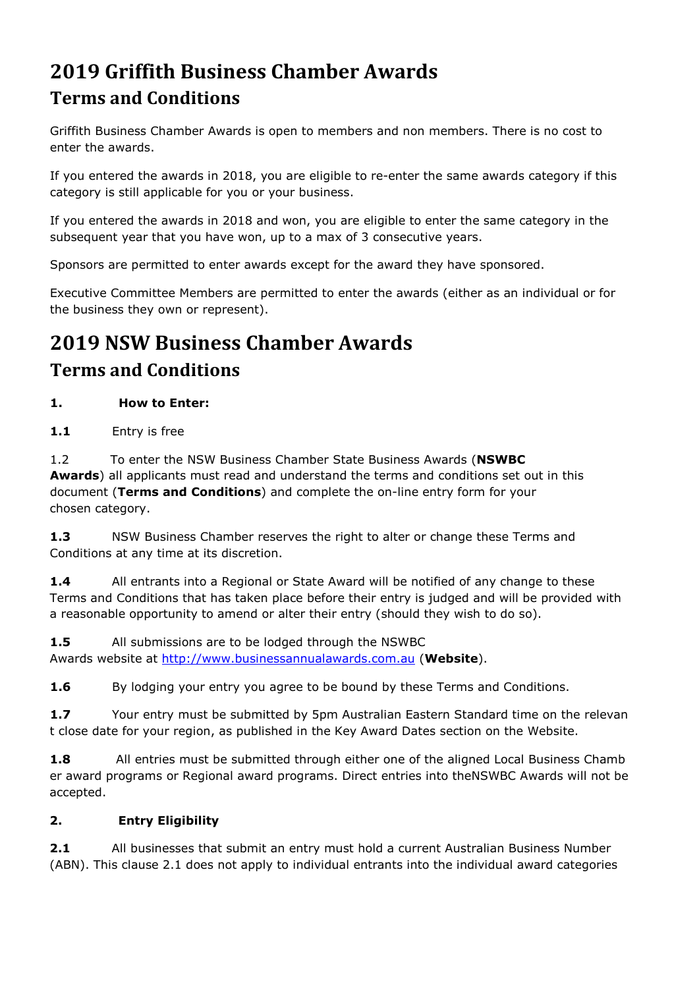## **2019 Griffith Business Chamber Awards Terms and Conditions**

Griffith Business Chamber Awards is open to members and non members. There is no cost to enter the awards.

If you entered the awards in 2018, you are eligible to re-enter the same awards category if this category is still applicable for you or your business.

If you entered the awards in 2018 and won, you are eligible to enter the same category in the subsequent year that you have won, up to a max of 3 consecutive years.

Sponsors are permitted to enter awards except for the award they have sponsored.

Executive Committee Members are permitted to enter the awards (either as an individual or for the business they own or represent).

# **2019 NSW Business Chamber Awards Terms and Conditions**

## **1. How to Enter:**

**1.1** Entry is free

1.2 To enter the NSW Business Chamber State Business Awards (**NSWBC Awards**) all applicants must read and understand the terms and conditions set out in this document (**Terms and Conditions**) and complete the on-line entry form for your chosen category.

**1.3** NSW Business Chamber reserves the right to alter or change these Terms and Conditions at any time at its discretion.

**1.4** All entrants into a Regional or State Award will be notified of any change to these Terms and Conditions that has taken place before their entry is judged and will be provided with a reasonable opportunity to amend or alter their entry (should they wish to do so).

**1.5** All submissions are to be lodged through the NSWBC Awards website at [http://www.businessannualawards.com.au](http://www.businessannualawards.com.au/) (**Website**).

**1.6** By lodging your entry you agree to be bound by these Terms and Conditions.

**1.7** Your entry must be submitted by 5pm Australian Eastern Standard time on the relevan t close date for your region, as published in the Key Award Dates section on the Website.

**1.8** All entries must be submitted through either one of the aligned Local Business Chamb er award programs or Regional award programs. Direct entries into theNSWBC Awards will not be accepted.

## **2. Entry Eligibility**

**2.1** All businesses that submit an entry must hold a current Australian Business Number (ABN). This clause 2.1 does not apply to individual entrants into the individual award categories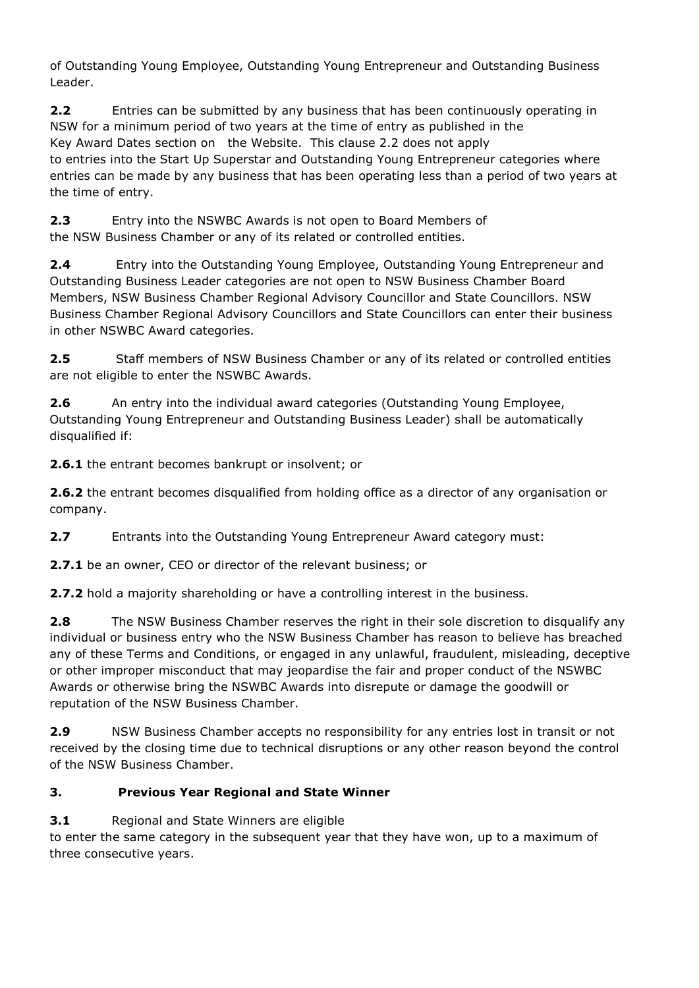of Outstanding Young Employee, Outstanding Young Entrepreneur and Outstanding Business Leader.

**2.2** Entries can be submitted by any business that has been continuously operating in NSW for a minimum period of two years at the time of entry as published in the Key Award Dates section on the Website. This clause 2.2 does not apply to entries into the Start Up Superstar and Outstanding Young Entrepreneur categories where entries can be made by any business that has been operating less than a period of two years at the time of entry.

**2.3** Entry into the NSWBC Awards is not open to Board Members of the NSW Business Chamber or any of its related or controlled entities.

**2.4** Entry into the Outstanding Young Employee, Outstanding Young Entrepreneur and Outstanding Business Leader categories are not open to NSW Business Chamber Board Members, NSW Business Chamber Regional Advisory Councillor and State Councillors. NSW Business Chamber Regional Advisory Councillors and State Councillors can enter their business in other NSWBC Award categories.

**2.5** Staff members of NSW Business Chamber or any of its related or controlled entities are not eligible to enter the NSWBC Awards.

**2.6** An entry into the individual award categories (Outstanding Young Employee, Outstanding Young Entrepreneur and Outstanding Business Leader) shall be automatically disqualified if:

**2.6.1** the entrant becomes bankrupt or insolvent; or

**2.6.2** the entrant becomes disqualified from holding office as a director of any organisation or company.

**2.7** Entrants into the Outstanding Young Entrepreneur Award category must:

**2.7.1** be an owner, CEO or director of the relevant business; or

**2.7.2** hold a majority shareholding or have a controlling interest in the business.

**2.8** The NSW Business Chamber reserves the right in their sole discretion to disqualify any individual or business entry who the NSW Business Chamber has reason to believe has breached any of these Terms and Conditions, or engaged in any unlawful, fraudulent, misleading, deceptive or other improper misconduct that may jeopardise the fair and proper conduct of the NSWBC Awards or otherwise bring the NSWBC Awards into disrepute or damage the goodwill or reputation of the NSW Business Chamber.

**2.9** NSW Business Chamber accepts no responsibility for any entries lost in transit or not received by the closing time due to technical disruptions or any other reason beyond the control of the NSW Business Chamber.

## **3. Previous Year Regional and State Winner**

**3.1** Regional and State Winners are eligible

to enter the same category in the subsequent year that they have won, up to a maximum of three consecutive years.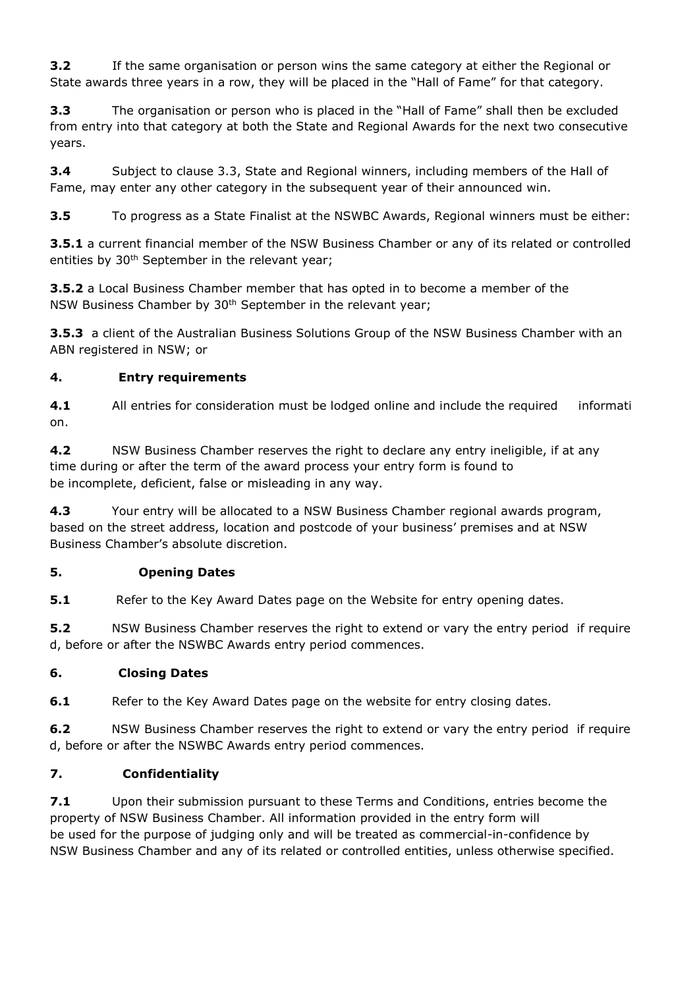**3.2** If the same organisation or person wins the same category at either the Regional or State awards three years in a row, they will be placed in the "Hall of Fame" for that category.

**3.3** The organisation or person who is placed in the "Hall of Fame" shall then be excluded from entry into that category at both the State and Regional Awards for the next two consecutive years.

**3.4** Subject to clause 3.3, State and Regional winners, including members of the Hall of Fame, may enter any other category in the subsequent year of their announced win.

**3.5** To progress as a State Finalist at the NSWBC Awards, Regional winners must be either:

**3.5.1** a current financial member of the NSW Business Chamber or any of its related or controlled entities by 30<sup>th</sup> September in the relevant year;

**3.5.2** a Local Business Chamber member that has opted in to become a member of the NSW Business Chamber by 30th September in the relevant year;

**3.5.3** a client of the Australian Business Solutions Group of the NSW Business Chamber with an ABN registered in NSW; or

## **4. Entry requirements**

**4.1** All entries for consideration must be lodged online and include the required informati on.

**4.2** NSW Business Chamber reserves the right to declare any entry ineligible, if at any time during or after the term of the award process your entry form is found to be incomplete, deficient, false or misleading in any way.

**4.3** Your entry will be allocated to a NSW Business Chamber regional awards program, based on the street address, location and postcode of your business' premises and at NSW Business Chamber's absolute discretion.

## **5. Opening Dates**

**5.1** Refer to the Key Award Dates page on the Website for entry opening dates.

**5.2** NSW Business Chamber reserves the right to extend or vary the entry period if require d, before or after the NSWBC Awards entry period commences.

## **6. Closing Dates**

**6.1** Refer to the Key Award Dates page on the website for entry closing dates.

**6.2** NSW Business Chamber reserves the right to extend or vary the entry period if require d, before or after the NSWBC Awards entry period commences.

## **7. Confidentiality**

**7.1** Upon their submission pursuant to these Terms and Conditions, entries become the property of NSW Business Chamber. All information provided in the entry form will be used for the purpose of judging only and will be treated as commercial-in-confidence by NSW Business Chamber and any of its related or controlled entities, unless otherwise specified.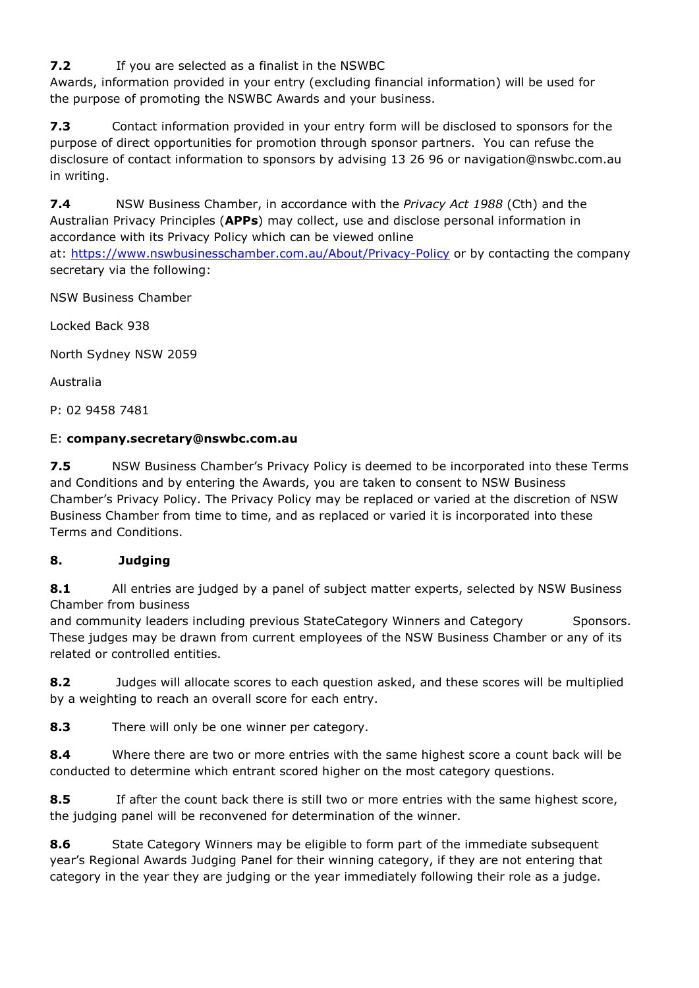**7.2** If you are selected as a finalist in the NSWBC

Awards, information provided in your entry (excluding financial information) will be used for the purpose of promoting the NSWBC Awards and your business.

**7.3** Contact information provided in your entry form will be disclosed to sponsors for the purpose of direct opportunities for promotion through sponsor partners. You can refuse the disclosure of contact information to sponsors by advising 13 26 96 or navigation@nswbc.com.au in writing.

**7.4** NSW Business Chamber, in accordance with the *Privacy Act 1988* (Cth) and the Australian Privacy Principles (**APPs**) may collect, use and disclose personal information in accordance with its Privacy Policy which can be viewed online at: <https://www.nswbusinesschamber.com.au/About/Privacy-Policy> or by contacting the company secretary via the following:

NSW Business Chamber

Locked Back 938

North Sydney NSW 2059

Australia

P: 02 9458 7481

#### E: **company.secretary@nswbc.com.au**

**7.5** NSW Business Chamber's Privacy Policy is deemed to be incorporated into these Terms and Conditions and by entering the Awards, you are taken to consent to NSW Business Chamber's Privacy Policy. The Privacy Policy may be replaced or varied at the discretion of NSW Business Chamber from time to time, and as replaced or varied it is incorporated into these Terms and Conditions.

## **8. Judging**

**8.1** All entries are judged by a panel of subject matter experts, selected by NSW Business Chamber from business

and community leaders including previous StateCategory Winners and Category Sponsors. These judges may be drawn from current employees of the NSW Business Chamber or any of its related or controlled entities.

**8.2** Judges will allocate scores to each question asked, and these scores will be multiplied by a weighting to reach an overall score for each entry.

**8.3** There will only be one winner per category.

**8.4** Where there are two or more entries with the same highest score a count back will be conducted to determine which entrant scored higher on the most category questions.

**8.5** If after the count back there is still two or more entries with the same highest score, the judging panel will be reconvened for determination of the winner.

**8.6** State Category Winners may be eligible to form part of the immediate subsequent year's Regional Awards Judging Panel for their winning category, if they are not entering that category in the year they are judging or the year immediately following their role as a judge.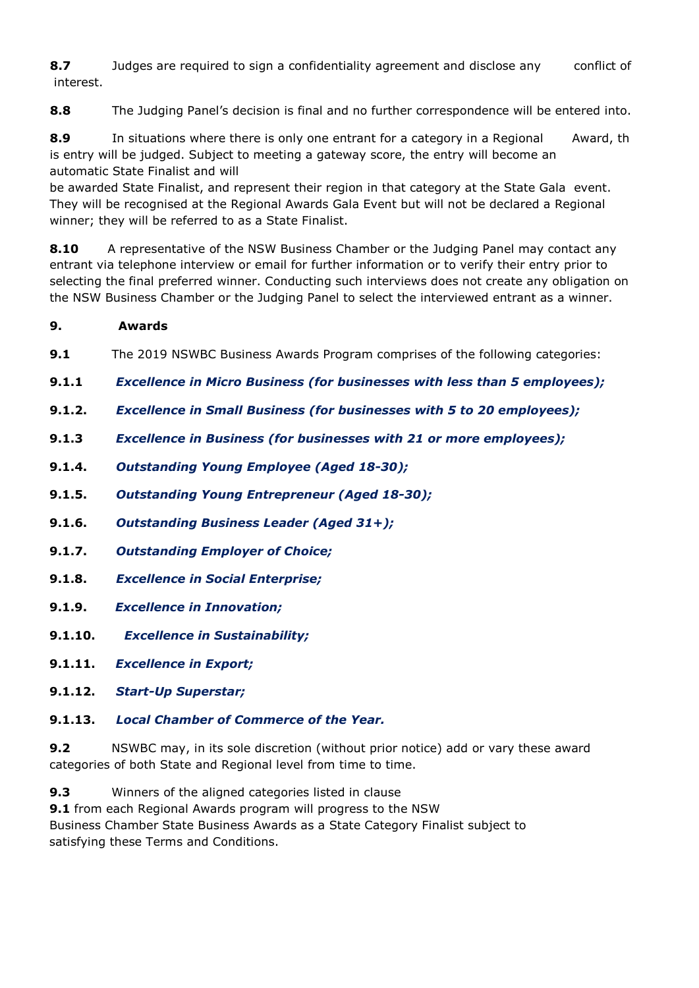**8.7** Judges are required to sign a confidentiality agreement and disclose any conflict of interest.

**8.8** The Judging Panel's decision is final and no further correspondence will be entered into.

**8.9** In situations where there is only one entrant for a category in a Regional Award, th is entry will be judged. Subject to meeting a gateway score, the entry will become an automatic State Finalist and will

be awarded State Finalist, and represent their region in that category at the State Gala event. They will be recognised at the Regional Awards Gala Event but will not be declared a Regional winner; they will be referred to as a State Finalist.

**8.10** A representative of the NSW Business Chamber or the Judging Panel may contact any entrant via telephone interview or email for further information or to verify their entry prior to selecting the final preferred winner. Conducting such interviews does not create any obligation on the NSW Business Chamber or the Judging Panel to select the interviewed entrant as a winner.

## **9. Awards**

**9.1** The 2019 NSWBC Business Awards Program comprises of the following categories:

- **9.1.1** *Excellence in Micro Business (for businesses with less than 5 employees);*
- **9.1.2.** *Excellence in Small Business (for businesses with 5 to 20 employees);*
- **9.1.3** *Excellence in Business (for businesses with 21 or more employees);*
- **9.1.4.** *Outstanding Young Employee (Aged 18-30);*
- **9.1.5.** *Outstanding Young Entrepreneur (Aged 18-30);*
- **9.1.6.** *Outstanding Business Leader (Aged 31+);*
- **9.1.7.** *Outstanding Employer of Choice;*
- **9.1.8.** *Excellence in Social Enterprise;*
- **9.1.9.** *Excellence in Innovation;*
- **9.1.10.** *Excellence in Sustainability;*
- **9.1.11.** *Excellence in Export;*
- **9.1.12.** *Start-Up Superstar;*
- **9.1.13.** *Local Chamber of Commerce of the Year.*

**9.2** NSWBC may, in its sole discretion (without prior notice) add or vary these award categories of both State and Regional level from time to time.

**9.3** Winners of the aligned categories listed in clause

**9.1** from each Regional Awards program will progress to the NSW Business Chamber State Business Awards as a State Category Finalist subject to satisfying these Terms and Conditions.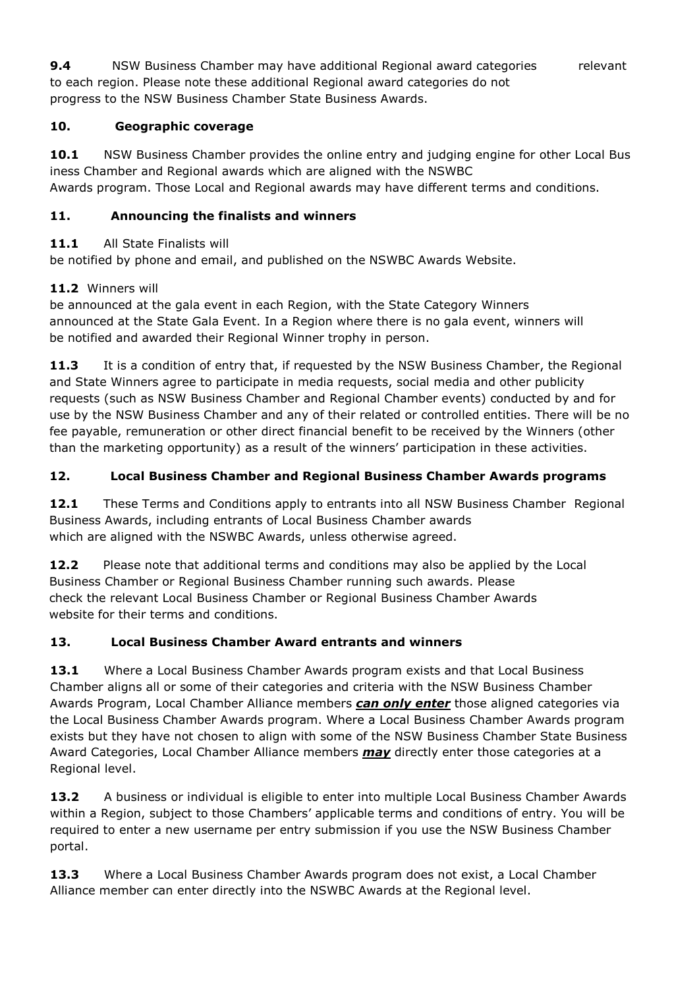**9.4** NSW Business Chamber may have additional Regional award categories relevant to each region. Please note these additional Regional award categories do not progress to the NSW Business Chamber State Business Awards.

#### **10. Geographic coverage**

**10.1** NSW Business Chamber provides the online entry and judging engine for other Local Bus iness Chamber and Regional awards which are aligned with the NSWBC Awards program. Those Local and Regional awards may have different terms and conditions.

## **11. Announcing the finalists and winners**

## 11.1 All State Finalists will

be notified by phone and email, and published on the NSWBC Awards Website.

## **11.2** Winners will

be announced at the gala event in each Region, with the State Category Winners announced at the State Gala Event. In a Region where there is no gala event, winners will be notified and awarded their Regional Winner trophy in person.

**11.3** It is a condition of entry that, if requested by the NSW Business Chamber, the Regional and State Winners agree to participate in media requests, social media and other publicity requests (such as NSW Business Chamber and Regional Chamber events) conducted by and for use by the NSW Business Chamber and any of their related or controlled entities. There will be no fee payable, remuneration or other direct financial benefit to be received by the Winners (other than the marketing opportunity) as a result of the winners' participation in these activities.

## **12. Local Business Chamber and Regional Business Chamber Awards programs**

**12.1** These Terms and Conditions apply to entrants into all NSW Business Chamber Regional Business Awards, including entrants of Local Business Chamber awards which are aligned with the NSWBC Awards, unless otherwise agreed.

**12.2** Please note that additional terms and conditions may also be applied by the Local Business Chamber or Regional Business Chamber running such awards. Please check the relevant Local Business Chamber or Regional Business Chamber Awards website for their terms and conditions.

## **13. Local Business Chamber Award entrants and winners**

**13.1** Where a Local Business Chamber Awards program exists and that Local Business Chamber aligns all or some of their categories and criteria with the NSW Business Chamber Awards Program, Local Chamber Alliance members *can only enter* those aligned categories via the Local Business Chamber Awards program. Where a Local Business Chamber Awards program exists but they have not chosen to align with some of the NSW Business Chamber State Business Award Categories, Local Chamber Alliance members *may* directly enter those categories at a Regional level.

**13.2** A business or individual is eligible to enter into multiple Local Business Chamber Awards within a Region, subject to those Chambers' applicable terms and conditions of entry. You will be required to enter a new username per entry submission if you use the NSW Business Chamber portal.

**13.3** Where a Local Business Chamber Awards program does not exist, a Local Chamber Alliance member can enter directly into the NSWBC Awards at the Regional level.